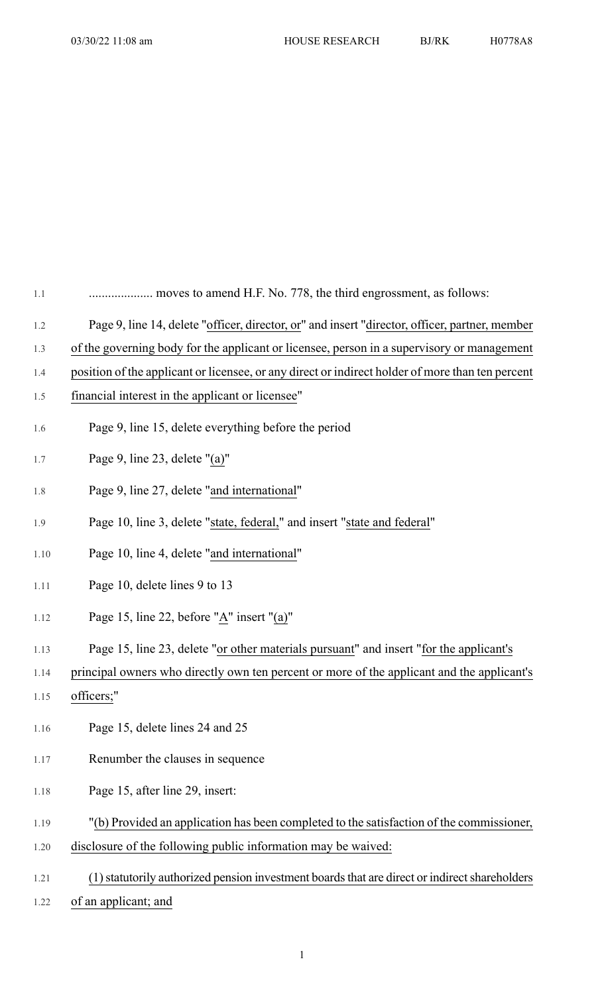| $1.1\,$ | moves to amend H.F. No. 778, the third engrossment, as follows:                                  |
|---------|--------------------------------------------------------------------------------------------------|
| 1.2     | Page 9, line 14, delete "officer, director, or" and insert "director, officer, partner, member   |
| 1.3     | of the governing body for the applicant or licensee, person in a supervisory or management       |
| 1.4     | position of the applicant or licensee, or any direct or indirect holder of more than ten percent |
| 1.5     | financial interest in the applicant or licensee"                                                 |
| 1.6     | Page 9, line 15, delete everything before the period                                             |
| 1.7     | Page 9, line 23, delete "(a)"                                                                    |
| 1.8     | Page 9, line 27, delete "and international"                                                      |
| 1.9     | Page 10, line 3, delete "state, federal," and insert "state and federal"                         |
| 1.10    | Page 10, line 4, delete "and international"                                                      |
| 1.11    | Page 10, delete lines 9 to 13                                                                    |
| 1.12    | Page 15, line 22, before "A" insert "(a)"                                                        |
| 1.13    | Page 15, line 23, delete "or other materials pursuant" and insert "for the applicant's           |
| 1.14    | principal owners who directly own ten percent or more of the applicant and the applicant's       |
| 1.15    | officers;"                                                                                       |
| 1.16    | Page 15, delete lines 24 and 25                                                                  |
| 1.17    | Renumber the clauses in sequence                                                                 |
| 1.18    | Page 15, after line 29, insert:                                                                  |
| 1.19    | "(b) Provided an application has been completed to the satisfaction of the commissioner,         |
| 1.20    | disclosure of the following public information may be waived:                                    |
| 1.21    | (1) statutorily authorized pension investment boards that are direct or indirect shareholders    |
| 1.22    | of an applicant; and                                                                             |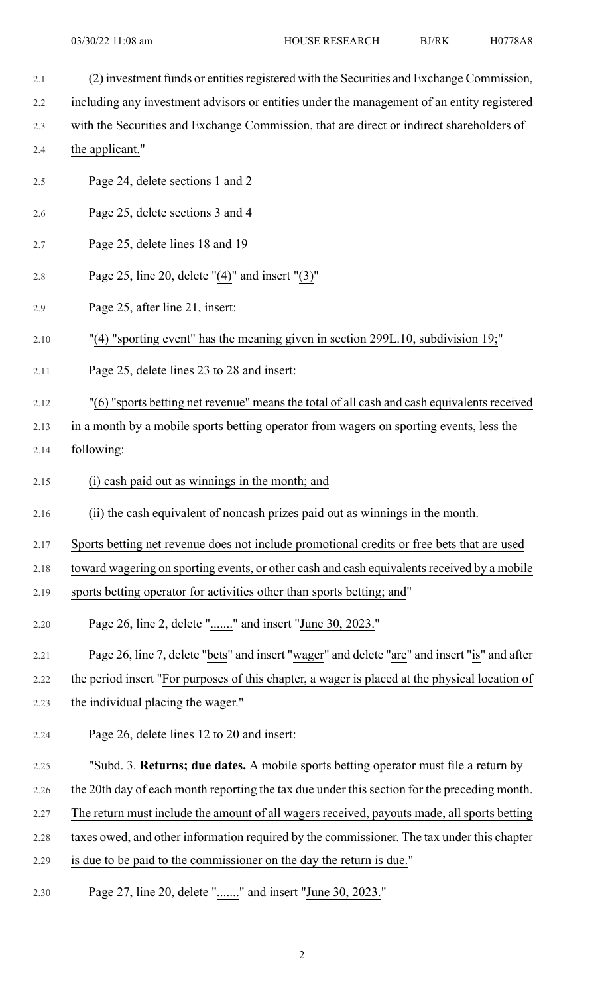- 2.1 (2) investment funds or entities registered with the Securities and Exchange Commission, 2.2 including any investment advisors or entities under the management of an entity registered 2.3 with the Securities and Exchange Commission, that are direct or indirect shareholders of 2.4 the applicant." 2.5 Page 24, delete sections 1 and 2 2.6 Page 25, delete sections 3 and 4 2.7 Page 25, delete lines 18 and 19 2.8 Page 25, line 20, delete "(4)" and insert "(3)" 2.9 Page 25, after line 21, insert: 2.10 "(4) "sporting event" has the meaning given in section 299L.10, subdivision 19;" 2.11 Page 25, delete lines 23 to 28 and insert: 2.12 "(6) "sports betting net revenue" means the total of all cash and cash equivalents received 2.13 in a month by a mobile sports betting operator from wagers on sporting events, less the 2.14 following: 2.15 (i) cash paid out as winnings in the month; and 2.16 (ii) the cash equivalent of noncash prizes paid out as winnings in the month. 2.17 Sports betting net revenue does not include promotional credits or free bets that are used 2.18 toward wagering on sporting events, or other cash and cash equivalents received by a mobile 2.19 sports betting operator for activities other than sports betting; and" 2.20 Page 26, line 2, delete "......." and insert "June 30, 2023." 2.21 Page 26, line 7, delete "bets" and insert "wager" and delete "are" and insert "is" and after 2.22 the period insert "For purposes of this chapter, a wager is placed at the physical location of 2.23 the individual placing the wager." 2.24 Page 26, delete lines 12 to 20 and insert: 2.25 "Subd. 3. **Returns; due dates.** A mobile sports betting operator must file a return by 2.26 the 20th day of each month reporting the tax due under this section for the preceding month. 2.27 The return must include the amount of all wagers received, payouts made, all sports betting 2.28 taxes owed, and other information required by the commissioner. The tax under this chapter 2.29 is due to be paid to the commissioner on the day the return is due." 2.30 Page 27, line 20, delete "......." and insert "June 30, 2023."
	- 2